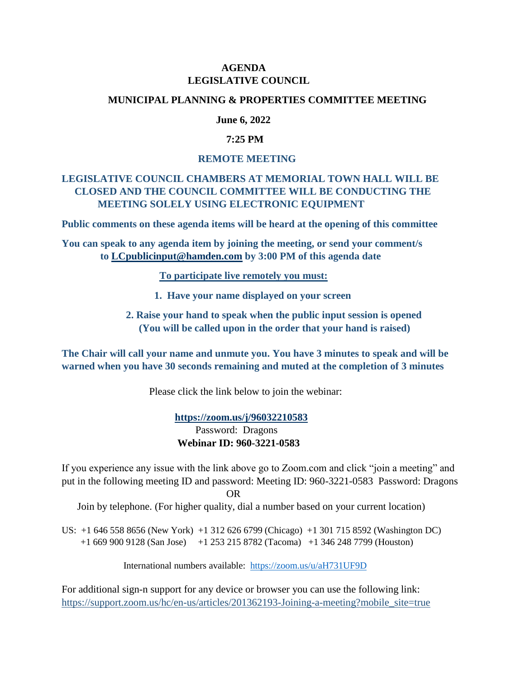## **AGENDA LEGISLATIVE COUNCIL**

#### **MUNICIPAL PLANNING & PROPERTIES COMMITTEE MEETING**

## **June 6, 2022**

### **7:25 PM**

#### **REMOTE MEETING**

# **LEGISLATIVE COUNCIL CHAMBERS AT MEMORIAL TOWN HALL WILL BE CLOSED AND THE COUNCIL COMMITTEE WILL BE CONDUCTING THE MEETING SOLELY USING ELECTRONIC EQUIPMENT**

**Public comments on these agenda items will be heard at the opening of this committee**

**You can speak to any agenda item by joining the meeting, or send your comment/s to [LCpublicinput@hamden.com](mailto:LCpublicinput@hamden.com) by 3:00 PM of this agenda date**

 **To participate live remotely you must:**

- **1. Have your name displayed on your screen**
- **2. Raise your hand to speak when the public input session is opened (You will be called upon in the order that your hand is raised)**

**The Chair will call your name and unmute you. You have 3 minutes to speak and will be warned when you have 30 seconds remaining and muted at the completion of 3 minutes**

Please click the link below to join the webinar:

 **<https://zoom.us/j/96032210583>** Password: Dragons **Webinar ID: 960-3221-0583**

If you experience any issue with the link above go to Zoom.com and click "join a meeting" and put in the following meeting ID and password: Meeting ID: 960-3221-0583 Password: Dragons OR

Join by telephone. (For higher quality, dial a number based on your current location)

US: +1 646 558 8656 (New York) +1 312 626 6799 (Chicago) +1 301 715 8592 (Washington DC) +1 669 900 9128 (San Jose) +1 253 215 8782 (Tacoma) +1 346 248 7799 (Houston)

International numbers available: <https://zoom.us/u/aH731UF9D>

For additional sign-n support for any device or browser you can use the following link: [https://support.zoom.us/hc/en-us/articles/201362193-Joining-a-meeting?mobile\\_site=true](https://support.zoom.us/hc/en-us/articles/201362193-Joining-a-meeting?mobile_site=true)